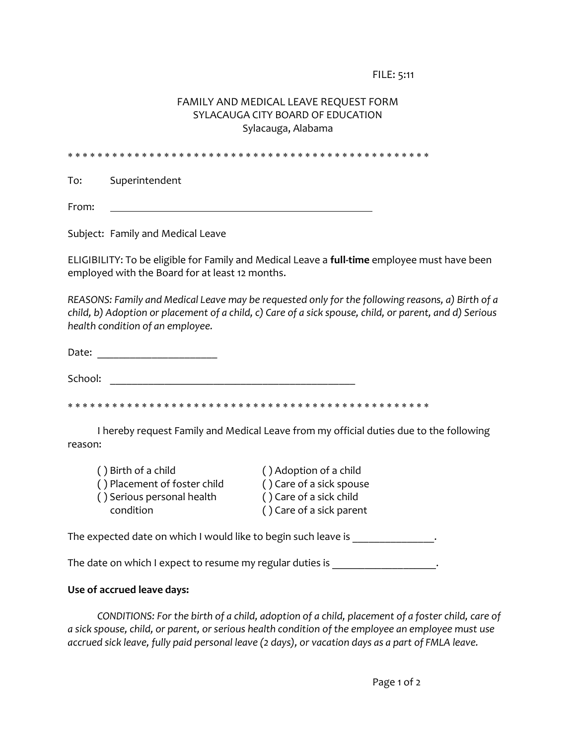FILE: 5:11

## FAMILY AND MEDICAL LEAVE REQUEST FORM SYLACAUGA CITY BOARD OF EDUCATION Sylacauga, Alabama

To: Superintendent

From:

Subject: Family and Medical Leave

ELIGIBILITY: To be eligible for Family and Medical Leave a **full-time** employee must have been employed with the Board for at least 12 months.

*REASONS: Family and Medical Leave may be requested only for the following reasons, a) Birth of a child, b) Adoption or placement of a child, c) Care of a sick spouse, child, or parent, and d) Serious health condition of an employee.*

Date:  $\Box$ 

School: \_\_\_\_\_\_\_\_\_\_\_\_\_\_\_\_\_\_\_\_\_\_\_\_\_\_\_\_\_\_\_\_\_\_\_\_\_\_\_\_\_\_\_\_\_

I hereby request Family and Medical Leave from my official duties due to the following reason:

| () Birth of a child          | () Adoption of a child   |
|------------------------------|--------------------------|
| () Placement of foster child | () Care of a sick spouse |
| () Serious personal health   | () Care of a sick child  |
| condition                    | () Care of a sick parent |

The expected date on which I would like to begin such leave is \_\_\_\_\_\_\_\_\_\_\_\_\_\_\_.

The date on which I expect to resume my regular duties is \_\_\_\_\_\_\_\_\_\_\_\_\_\_\_\_\_\_\_\_\_.

## **Use of accrued leave days:**

*CONDITIONS: For the birth of a child, adoption of a child, placement of a foster child, care of a sick spouse, child, or parent, or serious health condition of the employee an employee must use accrued sick leave, fully paid personal leave (2 days), or vacation days as a part of FMLA leave.*